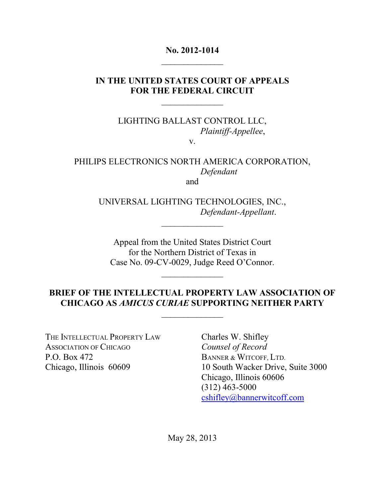### **No. 2012-1014**  $\mathcal{L}_\text{max}$

## **IN THE UNITED STATES COURT OF APPEALS FOR THE FEDERAL CIRCUIT**

 $\mathcal{L}_\text{max}$ 

LIGHTING BALLAST CONTROL LLC, *Plaintiff-Appellee*,

v.

#### PHILIPS ELECTRONICS NORTH AMERICA CORPORATION, *Defendant* and

UNIVERSAL LIGHTING TECHNOLOGIES, INC.,

 $\mathcal{L}_\text{max}$ 

*Defendant-Appellant*.

Appeal from the United States District Court for the Northern District of Texas in Case No. 09-CV-0029, Judge Reed O'Connor.

 $\mathcal{L}_\text{max}$ 

## **BRIEF OF THE INTELLECTUAL PROPERTY LAW ASSOCIATION OF CHICAGO AS** *AMICUS CURIAE* **SUPPORTING NEITHER PARTY**

 $\mathcal{L}_\text{max}$ 

THE INTELLECTUAL PROPERTY LAW Charles W. Shifley ASSOCIATION OF CHICAGO *Counsel of Record* P.O. Box 472 Chicago, Illinois 60609

BANNER & WITCOFF, LTD. 10 South Wacker Drive, Suite 3000 Chicago, Illinois 60606 (312) 463-5000 cshifley@bannerwitcoff.com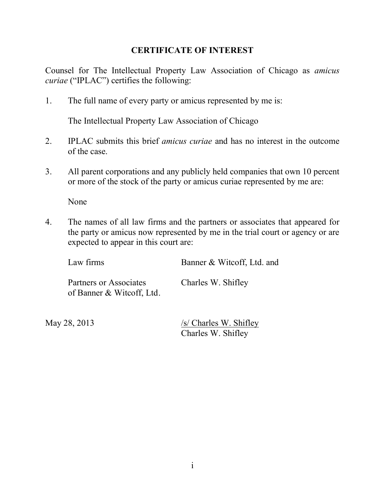### **CERTIFICATE OF INTEREST**

Counsel for The Intellectual Property Law Association of Chicago as *amicus curiae* ("IPLAC") certifies the following:

1. The full name of every party or amicus represented by me is:

The Intellectual Property Law Association of Chicago

- 2. IPLAC submits this brief *amicus curiae* and has no interest in the outcome of the case.
- 3. All parent corporations and any publicly held companies that own 10 percent or more of the stock of the party or amicus curiae represented by me are:

None

4. The names of all law firms and the partners or associates that appeared for the party or amicus now represented by me in the trial court or agency or are expected to appear in this court are:

| Law firms                                           | Banner & Witcoff, Ltd. and |
|-----------------------------------------------------|----------------------------|
| Partners or Associates<br>of Banner & Witcoff, Ltd. | Charles W. Shifley         |

May 28, 2013 /s/ Charles W. Shifley Charles W. Shifley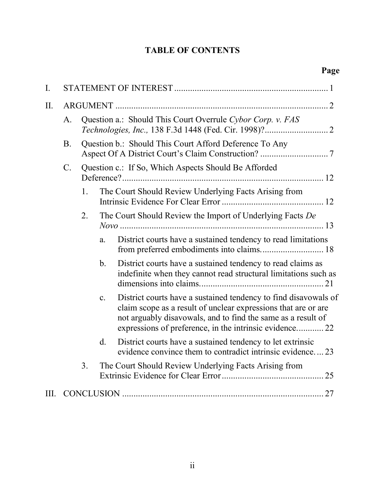# **TABLE OF CONTENTS**

| $\mathbf{I}$ . |             |                                                        |                                                            |                                                                                                                                                                                                                                                              |  |
|----------------|-------------|--------------------------------------------------------|------------------------------------------------------------|--------------------------------------------------------------------------------------------------------------------------------------------------------------------------------------------------------------------------------------------------------------|--|
| II.            |             |                                                        |                                                            |                                                                                                                                                                                                                                                              |  |
|                | A.          |                                                        | Question a.: Should This Court Overrule Cybor Corp. v. FAS |                                                                                                                                                                                                                                                              |  |
|                | <b>B.</b>   | Question b.: Should This Court Afford Deference To Any |                                                            |                                                                                                                                                                                                                                                              |  |
|                | $C_{\cdot}$ |                                                        |                                                            | Question c.: If So, Which Aspects Should Be Afforded                                                                                                                                                                                                         |  |
|                |             | 1.                                                     |                                                            | The Court Should Review Underlying Facts Arising from                                                                                                                                                                                                        |  |
|                |             | 2.                                                     |                                                            | The Court Should Review the Import of Underlying Facts De                                                                                                                                                                                                    |  |
|                |             |                                                        | a.                                                         | District courts have a sustained tendency to read limitations                                                                                                                                                                                                |  |
|                |             |                                                        | $\mathbf{b}$ .                                             | District courts have a sustained tendency to read claims as<br>indefinite when they cannot read structural limitations such as                                                                                                                               |  |
|                |             |                                                        | $C_{\cdot}$                                                | District courts have a sustained tendency to find disavowals of<br>claim scope as a result of unclear expressions that are or are<br>not arguably disavowals, and to find the same as a result of<br>expressions of preference, in the intrinsic evidence 22 |  |
|                |             |                                                        | $d_{\cdot}$                                                | District courts have a sustained tendency to let extrinsic<br>evidence convince them to contradict intrinsic evidence23                                                                                                                                      |  |
|                |             | 3.                                                     |                                                            | The Court Should Review Underlying Facts Arising from                                                                                                                                                                                                        |  |
| III.           |             |                                                        |                                                            |                                                                                                                                                                                                                                                              |  |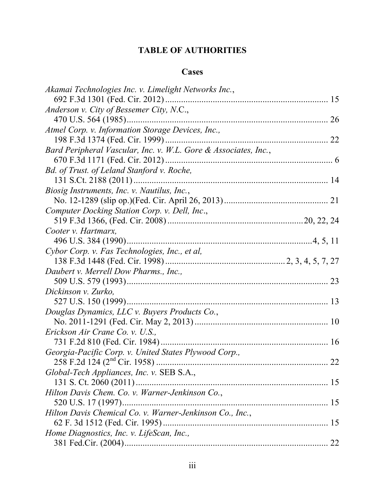## **TABLE OF AUTHORITIES**

### **Cases**

| Akamai Technologies Inc. v. Limelight Networks Inc.,            |    |
|-----------------------------------------------------------------|----|
|                                                                 | 15 |
| Anderson v. City of Bessemer City, N.C.,                        |    |
|                                                                 |    |
| Atmel Corp. v. Information Storage Devices, Inc.,               |    |
|                                                                 | 22 |
| Bard Peripheral Vascular, Inc. v. W.L. Gore & Associates, Inc., |    |
|                                                                 |    |
| Bd. of Trust. of Leland Stanford v. Roche,                      |    |
|                                                                 |    |
| Biosig Instruments, Inc. v. Nautilus, Inc.,                     |    |
|                                                                 |    |
| Computer Docking Station Corp. v. Dell, Inc.,                   |    |
|                                                                 |    |
| Cooter v. Hartmarx,                                             |    |
|                                                                 |    |
| Cybor Corp. v. Fas Technologies, Inc., et al,                   |    |
|                                                                 |    |
| Daubert v. Merrell Dow Pharms., Inc.,                           |    |
|                                                                 |    |
| Dickinson v. Zurko,                                             |    |
|                                                                 |    |
| Douglas Dynamics, LLC v. Buyers Products Co.,                   |    |
|                                                                 |    |
| Erickson Air Crane Co. v. U.S.,                                 |    |
|                                                                 | 16 |
| Georgia-Pacific Corp. v. United States Plywood Corp.,           |    |
|                                                                 |    |
| Global-Tech Appliances, Inc. v. SEB S.A.,                       |    |
|                                                                 |    |
| Hilton Davis Chem. Co. v. Warner-Jenkinson Co.,                 |    |
|                                                                 |    |
| Hilton Davis Chemical Co. v. Warner-Jenkinson Co., Inc.,        |    |
|                                                                 | 15 |
| Home Diagnostics, Inc. v. LifeScan, Inc.,                       |    |
|                                                                 |    |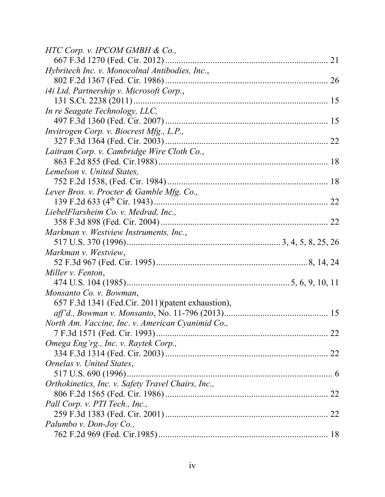| HTC Corp. v. IPCOM GMBH $& Co.,$                   |  |
|----------------------------------------------------|--|
|                                                    |  |
| Hybritech Inc. v. Monocolnal Antibodies, Inc.,     |  |
|                                                    |  |
| <i>i4i Ltd. Partnership v. Microsoft Corp.,</i>    |  |
|                                                    |  |
| In re Seagate Technology, LLC,                     |  |
|                                                    |  |
| Invitrogen Corp. v. Biocrest Mfg., L.P.,           |  |
|                                                    |  |
| Laitram Corp. v. Cambridge Wire Cloth Co.,         |  |
|                                                    |  |
| Lemelson v. United States,                         |  |
|                                                    |  |
| Lever Bros. v. Procter & Gamble Mfg. Co.,          |  |
|                                                    |  |
| LiebelFlarsheim Co. v. Medrad, Inc.,               |  |
|                                                    |  |
| Markman v. Westview Instruments, Inc.,             |  |
|                                                    |  |
| Markman v. Westview,                               |  |
|                                                    |  |
| Miller v. Fenton,                                  |  |
|                                                    |  |
| Monsanto Co. v. Bowman,                            |  |
| 657 F.3d 1341 (Fed.Cir. 2011) (patent exhaustion), |  |
|                                                    |  |
| North Am. Vaccine, Inc. v. American Cyanimid Co.,  |  |
|                                                    |  |
| Omega Eng'rg., Inc. v. Raytek Corp.,               |  |
|                                                    |  |
| Ornelas v. United States,                          |  |
|                                                    |  |
| Orthokinetics, Inc. v. Safety Travel Chairs, Inc., |  |
|                                                    |  |
| Pall Corp. v. PTI Tech., Inc.,                     |  |
|                                                    |  |
| Palumbo v. Don-Joy Co.,                            |  |
|                                                    |  |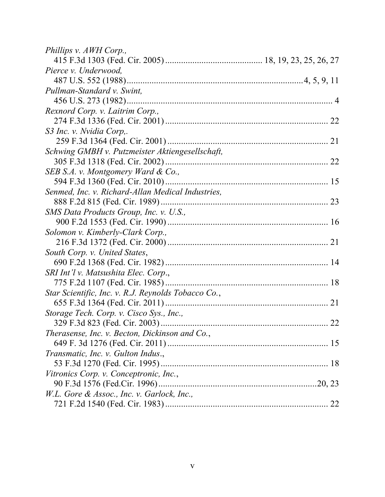| Phillips v. AWH Corp.,                              |    |
|-----------------------------------------------------|----|
|                                                     |    |
| Pierce v. Underwood,                                |    |
|                                                     |    |
| Pullman-Standard v. Swint,                          |    |
|                                                     |    |
| Rexnord Corp. v. Laitrim Corp.,                     |    |
|                                                     | 22 |
| S3 Inc. v. Nvidia Corp,.                            |    |
|                                                     |    |
| Schwing GMBH v. Putzmeister Aktiengesellschaft,     |    |
|                                                     |    |
| SEB S.A. v. Montgomery Ward & Co.,                  |    |
|                                                     |    |
| Senmed, Inc. v. Richard-Allan Medical Industries,   |    |
|                                                     |    |
| SMS Data Products Group, Inc. v. U.S.,              |    |
|                                                     |    |
| Solomon v. Kimberly-Clark Corp.,                    |    |
|                                                     |    |
| South Corp. v. United States,                       |    |
|                                                     |    |
| SRI Int'l v. Matsushita Elec. Corp.,                |    |
|                                                     |    |
| Star Scientific, Inc. v. R.J. Reynolds Tobacco Co., |    |
|                                                     | 21 |
| Storage Tech. Corp. v. Cisco Sys., Inc.,            |    |
|                                                     |    |
| Therasense, Inc. v. Becton, Dickinson and Co.,      |    |
|                                                     | 15 |
| Transmatic, Inc. v. Gulton Indus.,                  |    |
|                                                     |    |
| Vitronics Corp. v. Conceptronic, Inc.,              |    |
|                                                     |    |
| W.L. Gore & Assoc., Inc. v. Garlock, Inc.,          |    |
|                                                     |    |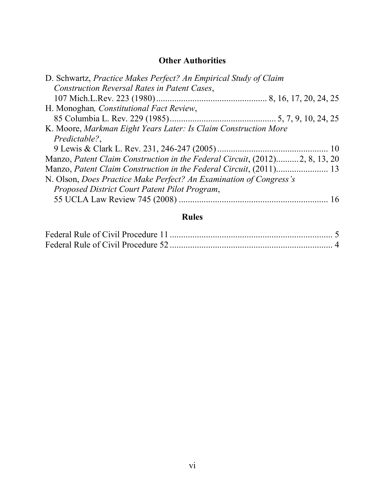## **Other Authorities**

| D. Schwartz, Practice Makes Perfect? An Empirical Study of Claim            |  |
|-----------------------------------------------------------------------------|--|
| Construction Reversal Rates in Patent Cases,                                |  |
|                                                                             |  |
| H. Monoghan, Constitutional Fact Review,                                    |  |
|                                                                             |  |
| K. Moore, Markman Eight Years Later: Is Claim Construction More             |  |
| Predictable?,                                                               |  |
|                                                                             |  |
| Manzo, Patent Claim Construction in the Federal Circuit, (2012)2, 8, 13, 20 |  |
|                                                                             |  |
| N. Olson, Does Practice Make Perfect? An Examination of Congress's          |  |
| Proposed District Court Patent Pilot Program,                               |  |
|                                                                             |  |
|                                                                             |  |

## **Rules**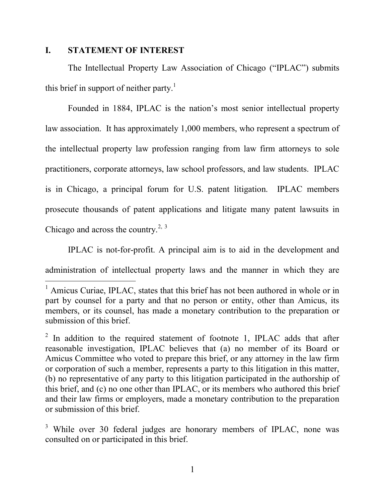#### <span id="page-7-0"></span>**I. STATEMENT OF INTEREST**

 $\overline{a}$ 

The Intellectual Property Law Association of Chicago ("IPLAC") submits this brief in support of neither party.<sup>1</sup>

Founded in 1884, IPLAC is the nation's most senior intellectual property law association. It has approximately 1,000 members, who represent a spectrum of the intellectual property law profession ranging from law firm attorneys to sole practitioners, corporate attorneys, law school professors, and law students. IPLAC is in Chicago, a principal forum for U.S. patent litigation. IPLAC members prosecute thousands of patent applications and litigate many patent lawsuits in Chicago and across the country.<sup>2, 3</sup>

IPLAC is not-for-profit. A principal aim is to aid in the development and administration of intellectual property laws and the manner in which they are

<sup>&</sup>lt;sup>1</sup> Amicus Curiae, IPLAC, states that this brief has not been authored in whole or in part by counsel for a party and that no person or entity, other than Amicus, its members, or its counsel, has made a monetary contribution to the preparation or submission of this brief.

 $2$  In addition to the required statement of footnote 1, IPLAC adds that after reasonable investigation, IPLAC believes that (a) no member of its Board or Amicus Committee who voted to prepare this brief, or any attorney in the law firm or corporation of such a member, represents a party to this litigation in this matter, (b) no representative of any party to this litigation participated in the authorship of this brief, and (c) no one other than IPLAC, or its members who authored this brief and their law firms or employers, made a monetary contribution to the preparation or submission of this brief.

<sup>&</sup>lt;sup>3</sup> While over 30 federal judges are honorary members of IPLAC, none was consulted on or participated in this brief.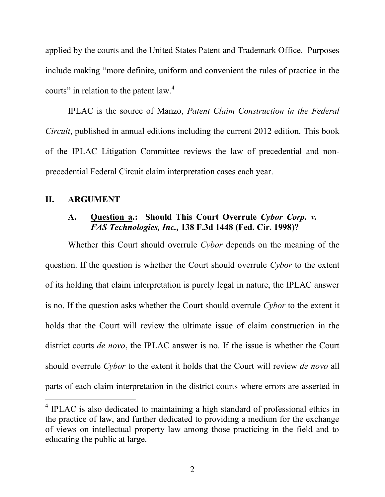applied by the courts and the United States Patent and Trademark Office. Purposes include making "more definite, uniform and convenient the rules of practice in the courts" in relation to the patent law. $4$ 

IPLAC is the source of Manzo, *Patent Claim Construction in the Federal Circuit*, published in annual editions including the current 2012 edition. This book of the IPLAC Litigation Committee reviews the law of precedential and nonprecedential Federal Circuit claim interpretation cases each year.

#### <span id="page-8-1"></span><span id="page-8-0"></span>**II. ARGUMENT**

 $\overline{a}$ 

### **A. Question a.: Should This Court Overrule** *Cybor Corp. v. FAS Technologies, Inc.,* **138 F.3d 1448 (Fed. Cir. 1998)?**

Whether this Court should overrule *Cybor* depends on the meaning of the question. If the question is whether the Court should overrule *Cybor* to the extent of its holding that claim interpretation is purely legal in nature, the IPLAC answer is no. If the question asks whether the Court should overrule *Cybor* to the extent it holds that the Court will review the ultimate issue of claim construction in the district courts *de novo*, the IPLAC answer is no. If the issue is whether the Court should overrule *Cybor* to the extent it holds that the Court will review *de novo* all parts of each claim interpretation in the district courts where errors are asserted in

<sup>&</sup>lt;sup>4</sup> IPLAC is also dedicated to maintaining a high standard of professional ethics in the practice of law, and further dedicated to providing a medium for the exchange of views on intellectual property law among those practicing in the field and to educating the public at large.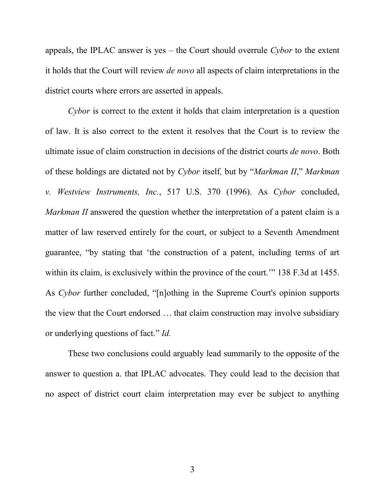appeals, the IPLAC answer is yes – the Court should overrule *Cybor* to the extent it holds that the Court will review *de novo* all aspects of claim interpretations in the district courts where errors are asserted in appeals.

*Cybor* is correct to the extent it holds that claim interpretation is a question of law. It is also correct to the extent it resolves that the Court is to review the ultimate issue of claim construction in decisions of the district courts *de novo*. Both of these holdings are dictated not by *Cybor* itself*,* but by "*Markman II*," *Markman v. Westview Instruments, Inc.*, 517 U.S. 370 (1996). As *Cybor* concluded, *Markman II* answered the question whether the interpretation of a patent claim is a matter of law reserved entirely for the court, or subject to a Seventh Amendment guarantee, "by stating that 'the construction of a patent, including terms of art within its claim, is exclusively within the province of the court." 138 F.3d at 1455. As *Cybor* further concluded, "[n]othing in the Supreme Court's opinion supports the view that the Court endorsed … that claim construction may involve subsidiary or underlying questions of fact." *Id.*

These two conclusions could arguably lead summarily to the opposite of the answer to question a. that IPLAC advocates. They could lead to the decision that no aspect of district court claim interpretation may ever be subject to anything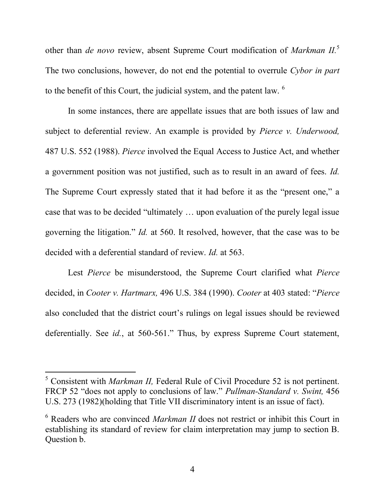other than *de novo* review, absent Supreme Court modification of *Markman II.* 5 The two conclusions, however, do not end the potential to overrule *Cybor in part*  to the benefit of this Court, the judicial system, and the patent law. <sup>6</sup>

In some instances, there are appellate issues that are both issues of law and subject to deferential review. An example is provided by *Pierce v. Underwood,*  487 U.S. 552 (1988). *Pierce* involved the Equal Access to Justice Act, and whether a government position was not justified, such as to result in an award of fees. *Id.* The Supreme Court expressly stated that it had before it as the "present one," a case that was to be decided "ultimately … upon evaluation of the purely legal issue governing the litigation." *Id.* at 560. It resolved, however, that the case was to be decided with a deferential standard of review. *Id.* at 563.

Lest *Pierce* be misunderstood, the Supreme Court clarified what *Pierce*  decided, in *Cooter v. Hartmarx,* 496 U.S. 384 (1990). *Cooter* at 403 stated: "*Pierce*  also concluded that the district court's rulings on legal issues should be reviewed deferentially. See *id.*, at 560-561." Thus, by express Supreme Court statement,

 $\overline{a}$ 

<sup>5</sup> Consistent with *Markman II,* Federal Rule of Civil Procedure 52 is not pertinent. FRCP 52 "does not apply to conclusions of law." *Pullman-Standard v. Swint,* 456 U.S. 273 (1982)(holding that Title VII discriminatory intent is an issue of fact).

<sup>6</sup> Readers who are convinced *Markman II* does not restrict or inhibit this Court in establishing its standard of review for claim interpretation may jump to section B. Question b.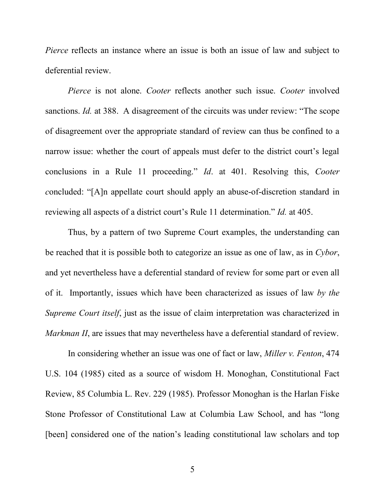*Pierce* reflects an instance where an issue is both an issue of law and subject to deferential review.

*Pierce* is not alone. *Cooter* reflects another such issue. *Cooter* involved sanctions. *Id.* at 388. A disagreement of the circuits was under review: "The scope of disagreement over the appropriate standard of review can thus be confined to a narrow issue: whether the court of appeals must defer to the district court's legal conclusions in a Rule 11 proceeding." *Id*. at 401. Resolving this, *Cooter concluded:* "[A]n appellate court should apply an abuse-of-discretion standard in reviewing all aspects of a district court's Rule 11 determination." *Id.* at 405.

Thus, by a pattern of two Supreme Court examples, the understanding can be reached that it is possible both to categorize an issue as one of law, as in *Cybor*, and yet nevertheless have a deferential standard of review for some part or even all of it. Importantly, issues which have been characterized as issues of law *by the Supreme Court itself*, just as the issue of claim interpretation was characterized in *Markman II*, are issues that may nevertheless have a deferential standard of review.

In considering whether an issue was one of fact or law, *Miller v. Fenton*, 474 U.S. 104 (1985) cited as a source of wisdom H. Monoghan, Constitutional Fact Review, 85 Columbia L. Rev. 229 (1985). Professor Monoghan is the Harlan Fiske Stone Professor of Constitutional Law at Columbia Law School, and has "long [been] considered one of the nation's leading constitutional law scholars and top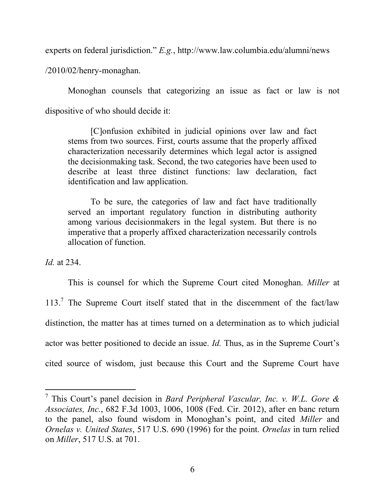experts on federal jurisdiction." *E.g.*, http://www.law.columbia.edu/alumni/news

/2010/02/henry-monaghan.

Monoghan counsels that categorizing an issue as fact or law is not dispositive of who should decide it:

[C]onfusion exhibited in judicial opinions over law and fact stems from two sources. First, courts assume that the properly affixed characterization necessarily determines which legal actor is assigned the decisionmaking task. Second, the two categories have been used to describe at least three distinct functions: law declaration, fact identification and law application.

To be sure, the categories of law and fact have traditionally served an important regulatory function in distributing authority among various decisionmakers in the legal system. But there is no imperative that a properly affixed characterization necessarily controls allocation of function.

*Id.* at 234.

 $\overline{a}$ 

This is counsel for which the Supreme Court cited Monoghan. *Miller* at 113.<sup>7</sup> The Supreme Court itself stated that in the discernment of the fact/law distinction, the matter has at times turned on a determination as to which judicial actor was better positioned to decide an issue. *Id.* Thus, as in the Supreme Court's cited source of wisdom, just because this Court and the Supreme Court have

<sup>7</sup> This Court's panel decision in *Bard Peripheral Vascular, Inc. v. W.L. Gore & Associates, Inc.*, 682 F.3d 1003, 1006, 1008 (Fed. Cir. 2012), after en banc return to the panel, also found wisdom in Monoghan's point, and cited *Miller* and *Ornelas v. United States*, 517 U.S. 690 (1996) for the point. *Ornelas* in turn relied on *Miller*, 517 U.S. at 701.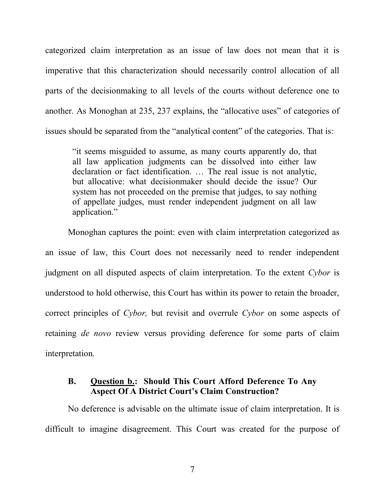categorized claim interpretation as an issue of law does not mean that it is imperative that this characterization should necessarily control allocation of all parts of the decisionmaking to all levels of the courts without deference one to another. As Monoghan at 235, 237 explains, the "allocative uses" of categories of issues should be separated from the "analytical content" of the categories. That is:

"it seems misguided to assume, as many courts apparently do, that all law application judgments can be dissolved into either law declaration or fact identification. … The real issue is not analytic, but allocative: what decisionmaker should decide the issue? Our system has not proceeded on the premise that judges, to say nothing of appellate judges, must render independent judgment on all law application."

Monoghan captures the point: even with claim interpretation categorized as an issue of law, this Court does not necessarily need to render independent judgment on all disputed aspects of claim interpretation. To the extent *Cybor* is understood to hold otherwise, this Court has within its power to retain the broader, correct principles of *Cybor,* but revisit and overrule *Cybor* on some aspects of retaining *de novo* review versus providing deference for some parts of claim interpretation.

#### <span id="page-13-0"></span>**B. Question b.: Should This Court Afford Deference To Any Aspect Of A District Court's Claim Construction?**

No deference is advisable on the ultimate issue of claim interpretation. It is difficult to imagine disagreement. This Court was created for the purpose of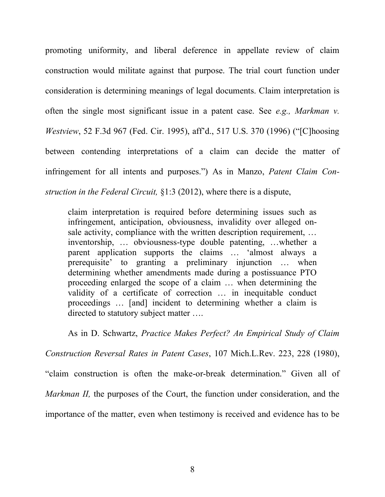promoting uniformity, and liberal deference in appellate review of claim construction would militate against that purpose. The trial court function under consideration is determining meanings of legal documents. Claim interpretation is often the single most significant issue in a patent case. See *e.g., Markman v. Westview*, 52 F.3d 967 (Fed. Cir. 1995), aff'd., 517 U.S. 370 (1996) ("[C]hoosing between contending interpretations of a claim can decide the matter of infringement for all intents and purposes.") As in Manzo, *Patent Claim Construction in the Federal Circuit,* §1:3 (2012), where there is a dispute,

claim interpretation is required before determining issues such as infringement, anticipation, obviousness, invalidity over alleged onsale activity, compliance with the written description requirement, … inventorship, … obviousness-type double patenting, …whether a parent application supports the claims … 'almost always a prerequisite' to granting a preliminary injunction … when determining whether amendments made during a postissuance PTO proceeding enlarged the scope of a claim … when determining the validity of a certificate of correction … in inequitable conduct proceedings … [and] incident to determining whether a claim is directed to statutory subject matter ….

As in D. Schwartz, *Practice Makes Perfect? An Empirical Study of Claim* 

*Construction Reversal Rates in Patent Cases*, 107 Mich.L.Rev. 223, 228 (1980),

"claim construction is often the make-or-break determination." Given all of

*Markman II,* the purposes of the Court, the function under consideration, and the

importance of the matter, even when testimony is received and evidence has to be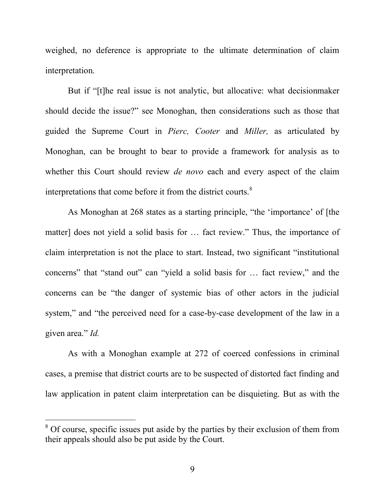weighed, no deference is appropriate to the ultimate determination of claim interpretation.

But if "[t]he real issue is not analytic, but allocative: what decisionmaker should decide the issue?" see Monoghan, then considerations such as those that guided the Supreme Court in *Pierc, Cooter* and *Miller,* as articulated by Monoghan, can be brought to bear to provide a framework for analysis as to whether this Court should review *de novo* each and every aspect of the claim interpretations that come before it from the district courts.<sup>8</sup>

As Monoghan at 268 states as a starting principle, "the 'importance' of [the matter] does not yield a solid basis for … fact review." Thus, the importance of claim interpretation is not the place to start. Instead, two significant "institutional concerns" that "stand out" can "yield a solid basis for … fact review," and the concerns can be "the danger of systemic bias of other actors in the judicial system," and "the perceived need for a case-by-case development of the law in a given area." *Id.*

As with a Monoghan example at 272 of coerced confessions in criminal cases, a premise that district courts are to be suspected of distorted fact finding and law application in patent claim interpretation can be disquieting. But as with the

 $\overline{a}$ 

 $8<sup>8</sup>$  Of course, specific issues put aside by the parties by their exclusion of them from their appeals should also be put aside by the Court.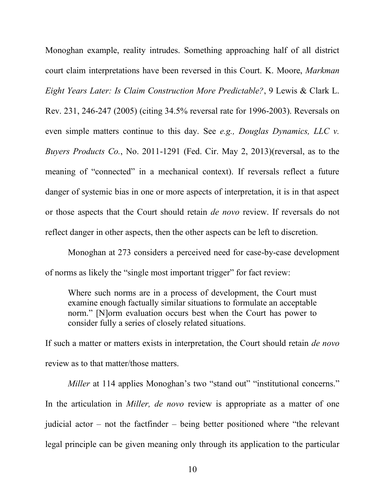Monoghan example, reality intrudes. Something approaching half of all district court claim interpretations have been reversed in this Court. K. Moore, *Markman Eight Years Later: Is Claim Construction More Predictable?*, 9 Lewis & Clark L. Rev. 231, 246-247 (2005) (citing 34.5% reversal rate for 1996-2003). Reversals on even simple matters continue to this day. See *e.g., Douglas Dynamics, LLC v. Buyers Products Co.*, No. 2011-1291 (Fed. Cir. May 2, 2013)(reversal, as to the meaning of "connected" in a mechanical context). If reversals reflect a future danger of systemic bias in one or more aspects of interpretation, it is in that aspect or those aspects that the Court should retain *de novo* review. If reversals do not reflect danger in other aspects, then the other aspects can be left to discretion.

Monoghan at 273 considers a perceived need for case-by-case development of norms as likely the "single most important trigger" for fact review:

Where such norms are in a process of development, the Court must examine enough factually similar situations to formulate an acceptable norm." [N]orm evaluation occurs best when the Court has power to consider fully a series of closely related situations.

If such a matter or matters exists in interpretation, the Court should retain *de novo*  review as to that matter/those matters.

*Miller* at 114 applies Monoghan's two "stand out" "institutional concerns." In the articulation in *Miller, de novo* review is appropriate as a matter of one judicial actor – not the factfinder – being better positioned where "the relevant legal principle can be given meaning only through its application to the particular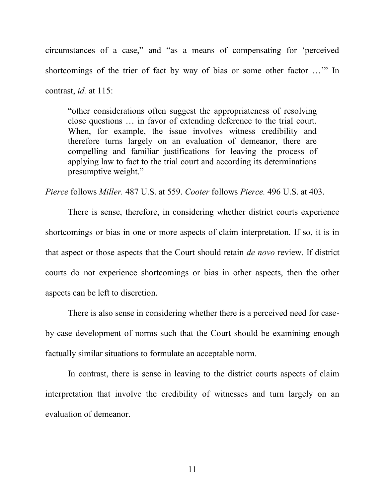circumstances of a case," and "as a means of compensating for 'perceived shortcomings of the trier of fact by way of bias or some other factor …'" In contrast, *id.* at 115:

"other considerations often suggest the appropriateness of resolving close questions … in favor of extending deference to the trial court. When, for example, the issue involves witness credibility and therefore turns largely on an evaluation of demeanor, there are compelling and familiar justifications for leaving the process of applying law to fact to the trial court and according its determinations presumptive weight."

*Pierce* follows *Miller.* 487 U.S. at 559. *Cooter* follows *Pierce.* 496 U.S. at 403.

There is sense, therefore, in considering whether district courts experience shortcomings or bias in one or more aspects of claim interpretation. If so, it is in that aspect or those aspects that the Court should retain *de novo* review. If district courts do not experience shortcomings or bias in other aspects, then the other aspects can be left to discretion.

There is also sense in considering whether there is a perceived need for caseby-case development of norms such that the Court should be examining enough factually similar situations to formulate an acceptable norm.

In contrast, there is sense in leaving to the district courts aspects of claim interpretation that involve the credibility of witnesses and turn largely on an evaluation of demeanor.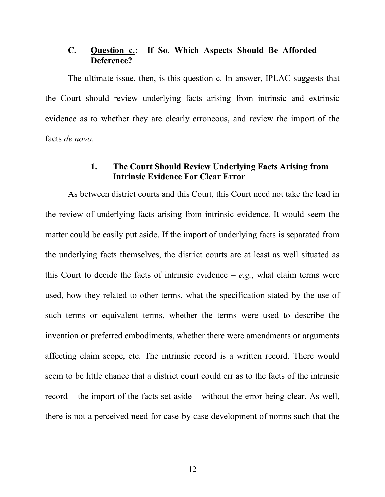#### <span id="page-18-0"></span>**C. Question c.: If So, Which Aspects Should Be Afforded Deference?**

The ultimate issue, then, is this question c. In answer, IPLAC suggests that the Court should review underlying facts arising from intrinsic and extrinsic evidence as to whether they are clearly erroneous, and review the import of the facts *de novo*.

#### **1. The Court Should Review Underlying Facts Arising from Intrinsic Evidence For Clear Error**

<span id="page-18-1"></span>As between district courts and this Court, this Court need not take the lead in the review of underlying facts arising from intrinsic evidence. It would seem the matter could be easily put aside. If the import of underlying facts is separated from the underlying facts themselves, the district courts are at least as well situated as this Court to decide the facts of intrinsic evidence  $-e.g.,$  what claim terms were used, how they related to other terms, what the specification stated by the use of such terms or equivalent terms, whether the terms were used to describe the invention or preferred embodiments, whether there were amendments or arguments affecting claim scope, etc. The intrinsic record is a written record. There would seem to be little chance that a district court could err as to the facts of the intrinsic record – the import of the facts set aside – without the error being clear. As well, there is not a perceived need for case-by-case development of norms such that the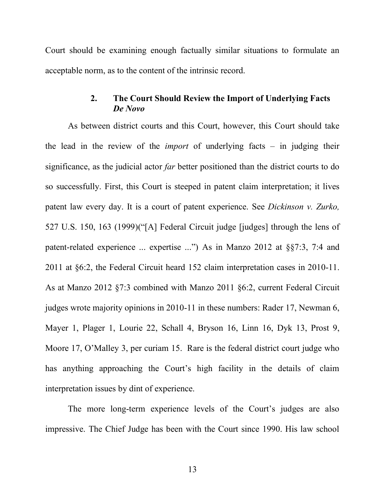Court should be examining enough factually similar situations to formulate an acceptable norm, as to the content of the intrinsic record.

#### **2. The Court Should Review the Import of Underlying Facts**  *De Novo*

<span id="page-19-0"></span>As between district courts and this Court, however, this Court should take the lead in the review of the *import* of underlying facts – in judging their significance, as the judicial actor *far* better positioned than the district courts to do so successfully. First, this Court is steeped in patent claim interpretation; it lives patent law every day. It is a court of patent experience. See *Dickinson v. Zurko,*  527 U.S. 150, 163 (1999)("[A] Federal Circuit judge [judges] through the lens of patent-related experience ... expertise ...") As in Manzo 2012 at §§7:3, 7:4 and 2011 at §6:2, the Federal Circuit heard 152 claim interpretation cases in 2010-11. As at Manzo 2012 §7:3 combined with Manzo 2011 §6:2, current Federal Circuit judges wrote majority opinions in 2010-11 in these numbers: Rader 17, Newman 6, Mayer 1, Plager 1, Lourie 22, Schall 4, Bryson 16, Linn 16, Dyk 13, Prost 9, Moore 17, O'Malley 3, per curiam 15. Rare is the federal district court judge who has anything approaching the Court's high facility in the details of claim interpretation issues by dint of experience.

The more long-term experience levels of the Court's judges are also impressive. The Chief Judge has been with the Court since 1990. His law school

13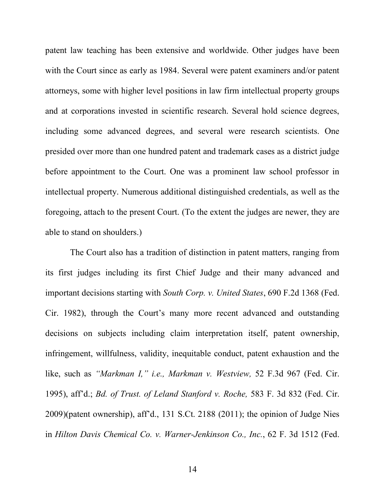patent law teaching has been extensive and worldwide. Other judges have been with the Court since as early as 1984. Several were patent examiners and/or patent attorneys, some with higher level positions in law firm intellectual property groups and at corporations invested in scientific research. Several hold science degrees, including some advanced degrees, and several were research scientists. One presided over more than one hundred patent and trademark cases as a district judge before appointment to the Court. One was a prominent law school professor in intellectual property. Numerous additional distinguished credentials, as well as the foregoing, attach to the present Court. (To the extent the judges are newer, they are able to stand on shoulders.)

The Court also has a tradition of distinction in patent matters, ranging from its first judges including its first Chief Judge and their many advanced and important decisions starting with *South Corp. v. United States*, 690 F.2d 1368 (Fed. Cir. 1982), through the Court's many more recent advanced and outstanding decisions on subjects including claim interpretation itself, patent ownership, infringement, willfulness, validity, inequitable conduct, patent exhaustion and the like, such as *"Markman I," i.e., Markman v. Westview,* 52 F.3d 967 (Fed. Cir. 1995), aff'd.; *Bd. of Trust. of Leland Stanford v. Roche,* 583 F. 3d 832 (Fed. Cir. 2009)(patent ownership), aff'd., 131 S.Ct. 2188 (2011); the opinion of Judge Nies in *Hilton Davis Chemical Co. v. Warner-Jenkinson Co., Inc.*, 62 F. 3d 1512 (Fed.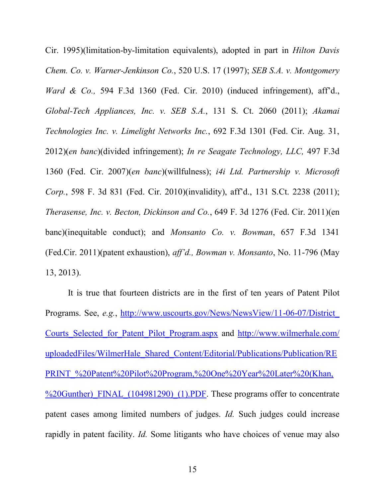Cir. 1995)(limitation-by-limitation equivalents), adopted in part in *Hilton Davis Chem. Co. v. Warner-Jenkinson Co.*, 520 U.S. 17 (1997); *SEB S.A. v. Montgomery Ward & Co.,* 594 F.3d 1360 (Fed. Cir. 2010) (induced infringement), aff'd., *Global-Tech Appliances, Inc. v. SEB S.A.*, 131 S. Ct. 2060 (2011); *Akamai Technologies Inc. v. Limelight Networks Inc.*, 692 F.3d 1301 (Fed. Cir. Aug. 31, 2012)(*en banc*)(divided infringement); *In re Seagate Technology, LLC,* 497 F.3d 1360 (Fed. Cir. 2007)(*en banc*)(willfulness); *i4i Ltd. Partnership v. Microsoft Corp.*, 598 F. 3d 831 (Fed. Cir. 2010)(invalidity), aff'd., 131 S.Ct. 2238 (2011); *Therasense, Inc. v. Becton, Dickinson and Co.*, 649 F. 3d 1276 (Fed. Cir. 2011)(en banc)(inequitable conduct); and *Monsanto Co. v. Bowman*, 657 F.3d 1341 (Fed.Cir. 2011)(patent exhaustion), *aff'd., Bowman v. Monsanto*, No. 11-796 (May 13, 2013).

It is true that fourteen districts are in the first of ten years of Patent Pilot Programs. See, *e.g.*, [http://www.uscourts.gov/News/NewsView/11-06-07/District\\_](http://www.uscourts.gov/News/NewsView/11-06-07/District_%20Courts_Selected_for_Patent_Pilot_Program.aspx)  Courts Selected for Patent Pilot Program.aspx and http://www.wilmerhale.com/ [uploadedFiles/WilmerHale\\_Shared\\_Content/Editorial/Publications/Publication/RE](http://www.wilmerhale.com/%20uploadedFiles/WilmerHale_Shared_Content/Editorial/Publications/Publication/REPRINT_%20Patent%20Pilot%20Program,%20One%20Year%20Later%20(Khan,%20Gunther)_FINAL_(104981290)_(1).PDF) [PRINT\\_%20Patent%20Pilot%20Program,%20One%20Year%20Later%20\(Khan,](http://www.wilmerhale.com/%20uploadedFiles/WilmerHale_Shared_Content/Editorial/Publications/Publication/REPRINT_%20Patent%20Pilot%20Program,%20One%20Year%20Later%20(Khan,%20Gunther)_FINAL_(104981290)_(1).PDF) %20Gunther) FINAL (104981290) (1).PDF. These programs offer to concentrate patent cases among limited numbers of judges. *Id.* Such judges could increase rapidly in patent facility. *Id.* Some litigants who have choices of venue may also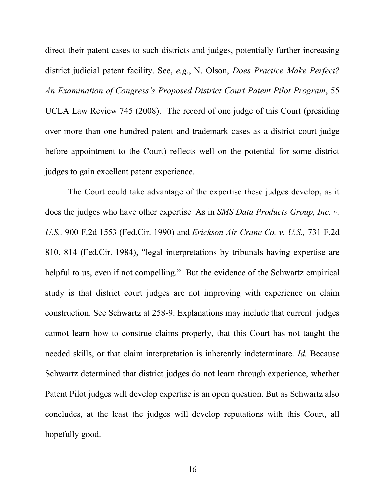direct their patent cases to such districts and judges, potentially further increasing district judicial patent facility. See, *e.g.*, N. Olson, *Does Practice Make Perfect? An Examination of Congress's Proposed District Court Patent Pilot Program*, 55 UCLA Law Review 745 (2008). The record of one judge of this Court (presiding over more than one hundred patent and trademark cases as a district court judge before appointment to the Court) reflects well on the potential for some district judges to gain excellent patent experience.

The Court could take advantage of the expertise these judges develop, as it does the judges who have other expertise. As in *SMS Data Products Group, Inc. v. U.S.,* 900 F.2d 1553 (Fed.Cir. 1990) and *Erickson Air Crane Co. v. U.S.,* 731 F.2d 810, 814 (Fed.Cir. 1984), "legal interpretations by tribunals having expertise are helpful to us, even if not compelling." But the evidence of the Schwartz empirical study is that district court judges are not improving with experience on claim construction. See Schwartz at 258-9. Explanations may include that current judges cannot learn how to construe claims properly, that this Court has not taught the needed skills, or that claim interpretation is inherently indeterminate. *Id.* Because Schwartz determined that district judges do not learn through experience, whether Patent Pilot judges will develop expertise is an open question. But as Schwartz also concludes, at the least the judges will develop reputations with this Court, all hopefully good.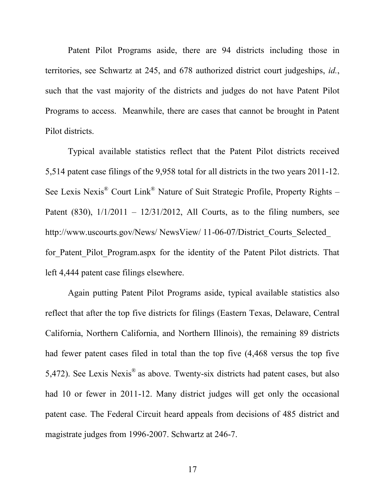Patent Pilot Programs aside, there are 94 districts including those in territories, see Schwartz at 245, and 678 authorized district court judgeships, *id.*, such that the vast majority of the districts and judges do not have Patent Pilot Programs to access. Meanwhile, there are cases that cannot be brought in Patent Pilot districts.

Typical available statistics reflect that the Patent Pilot districts received 5,514 patent case filings of the 9,958 total for all districts in the two years 2011-12. See Lexis Nexis® Court Link® Nature of Suit Strategic Profile, Property Rights – Patent (830),  $1/1/2011 - 12/31/2012$ , All Courts, as to the filing numbers, see http://www.uscourts.gov/News/ NewsView/ 11-06-07/District\_Courts\_Selected for Patent Pilot Program.aspx for the identity of the Patent Pilot districts. That left 4,444 patent case filings elsewhere.

Again putting Patent Pilot Programs aside, typical available statistics also reflect that after the top five districts for filings (Eastern Texas, Delaware, Central California, Northern California, and Northern Illinois), the remaining 89 districts had fewer patent cases filed in total than the top five (4,468 versus the top five 5,472). See Lexis Nexis<sup>®</sup> as above. Twenty-six districts had patent cases, but also had 10 or fewer in 2011-12. Many district judges will get only the occasional patent case. The Federal Circuit heard appeals from decisions of 485 district and magistrate judges from 1996-2007. Schwartz at 246-7.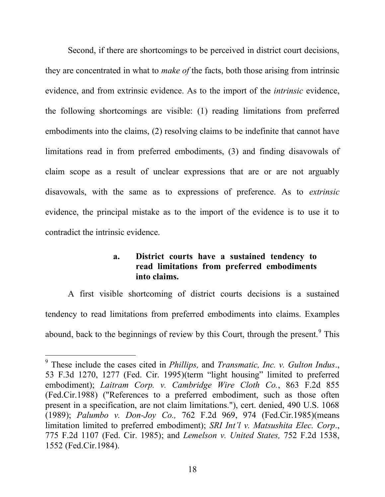Second, if there are shortcomings to be perceived in district court decisions, they are concentrated in what to *make of* the facts, both those arising from intrinsic evidence, and from extrinsic evidence. As to the import of the *intrinsic* evidence, the following shortcomings are visible: (1) reading limitations from preferred embodiments into the claims, (2) resolving claims to be indefinite that cannot have limitations read in from preferred embodiments, (3) and finding disavowals of claim scope as a result of unclear expressions that are or are not arguably disavowals, with the same as to expressions of preference. As to *extrinsic* evidence, the principal mistake as to the import of the evidence is to use it to contradict the intrinsic evidence.

#### **a. District courts have a sustained tendency to read limitations from preferred embodiments into claims.**

<span id="page-24-0"></span>A first visible shortcoming of district courts decisions is a sustained tendency to read limitations from preferred embodiments into claims. Examples abound, back to the beginnings of review by this Court, through the present.<sup>9</sup> This

l

<sup>9</sup> These include the cases cited in *Phillips,* and *Transmatic, Inc. v. Gulton Indus*., 53 F.3d 1270, 1277 (Fed. Cir. 1995)(term "light housing" limited to preferred embodiment); *Laitram Corp. v. Cambridge Wire Cloth Co.*, 863 F.2d 855 (Fed.Cir.1988) ("References to a preferred embodiment, such as those often present in a specification, are not claim limitations."), cert. denied, 490 U.S. 1068 (1989); *[Palumbo v. Don-Joy Co.,](http://scholar.google.com/scholar_case?case=10359455322377737990&q=texas+instruments+international&hl=en&as_sdt=400003)* 762 F.2d 969, 974 (Fed.Cir.1985)(means limitation limited to preferred embodiment); *SRI Int'l v. Matsushita Elec. Corp*., 775 F.2d 1107 (Fed. Cir. 1985); and *[Lemelson v. United States,](http://scholar.google.com/scholar_case?case=15647620377346837087&q=texas+instruments+international&hl=en&as_sdt=400003)* 752 F.2d 1538, 1552 [\(Fed.Cir.1984\).](http://scholar.google.com/scholar_case?case=15647620377346837087&q=texas+instruments+international&hl=en&as_sdt=400003)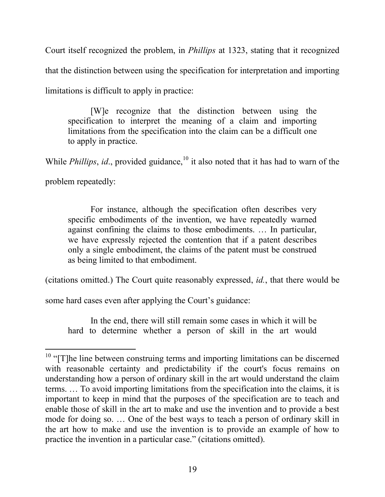Court itself recognized the problem, in *Phillips* at 1323, stating that it recognized that the distinction between using the specification for interpretation and importing limitations is difficult to apply in practice:

[W]e recognize that the distinction between using the specification to interpret the meaning of a claim and importing limitations from the specification into the claim can be a difficult one to apply in practice.

While *Phillips*, *id.*, provided guidance,<sup>10</sup> it also noted that it has had to warn of the

problem repeatedly:

 $\overline{a}$ 

For instance, although the specification often describes very specific embodiments of the invention, we have repeatedly warned against confining the claims to those embodiments. … In particular, we have expressly rejected the contention that if a patent describes only a single embodiment, the claims of the patent must be construed as being limited to that embodiment.

(citations omitted.) The Court quite reasonably expressed, *id.*, that there would be

some hard cases even after applying the Court's guidance:

In the end, there will still remain some cases in which it will be hard to determine whether a person of skill in the art would

 $10$  "[T]he line between construing terms and importing limitations can be discerned with reasonable certainty and predictability if the court's focus remains on understanding how a person of ordinary skill in the art would understand the claim terms. … To avoid importing limitations from the specification into the claims, it is important to keep in mind that the purposes of the specification are to teach and enable those of skill in the art to make and use the invention and to provide a best mode for doing so. … One of the best ways to teach a person of ordinary skill in the art how to make and use the invention is to provide an example of how to practice the invention in a particular case." (citations omitted).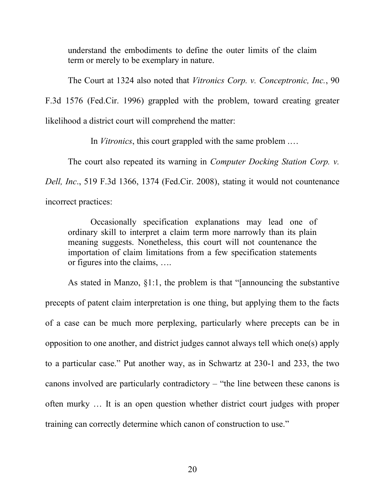understand the embodiments to define the outer limits of the claim term or merely to be exemplary in nature.

The Court at 1324 also noted that *Vitronics Corp. v. Conceptronic, Inc.*, 90

F.3d 1576 (Fed.Cir. 1996) grappled with the problem, toward creating greater likelihood a district court will comprehend the matter:

In *Vitronics*, this court grappled with the same problem .…

The court also repeated its warning in *Computer Docking Station Corp. v.* 

*Dell, Inc*., 519 F.3d 1366, 1374 (Fed.Cir. 2008), stating it would not countenance

incorrect practices:

Occasionally specification explanations may lead one of ordinary skill to interpret a claim term more narrowly than its plain meaning suggests. Nonetheless, this court will not countenance the importation of claim limitations from a few specification statements or figures into the claims, ….

As stated in Manzo, §1:1, the problem is that "[announcing the substantive precepts of patent claim interpretation is one thing, but applying them to the facts of a case can be much more perplexing, particularly where precepts can be in opposition to one another, and district judges cannot always tell which one(s) apply to a particular case." Put another way, as in Schwartz at 230-1 and 233, the two canons involved are particularly contradictory – "the line between these canons is often murky … It is an open question whether district court judges with proper training can correctly determine which canon of construction to use."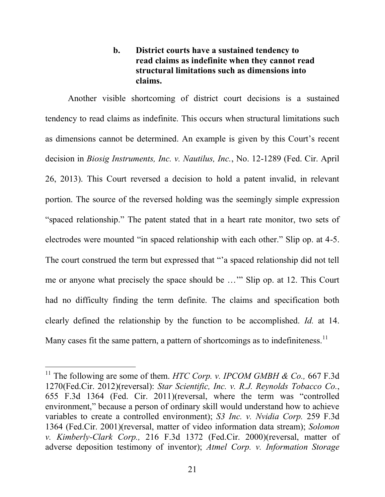### **b. District courts have a sustained tendency to read claims as indefinite when they cannot read structural limitations such as dimensions into claims.**

<span id="page-27-0"></span>Another visible shortcoming of district court decisions is a sustained tendency to read claims as indefinite. This occurs when structural limitations such as dimensions cannot be determined. An example is given by this Court's recent decision in *Biosig Instruments, Inc. v. Nautilus, Inc.*, No. 12-1289 (Fed. Cir. April 26, 2013). This Court reversed a decision to hold a patent invalid, in relevant portion. The source of the reversed holding was the seemingly simple expression "spaced relationship." The patent stated that in a heart rate monitor, two sets of electrodes were mounted "in spaced relationship with each other." Slip op. at 4-5. The court construed the term but expressed that "'a spaced relationship did not tell me or anyone what precisely the space should be …'" Slip op. at 12. This Court had no difficulty finding the term definite. The claims and specification both clearly defined the relationship by the function to be accomplished. *Id.* at 14. Many cases fit the same pattern, a pattern of shortcomings as to indefiniteness.<sup>11</sup>

l

<sup>&</sup>lt;sup>11</sup> The following are some of them. *HTC Corp. v. IPCOM GMBH & Co.*, 667 F.3d 1270(Fed.Cir. 2012)(reversal): *Star Scientific, Inc. v. R.J. Reynolds Tobacco Co.*, 655 F.3d 1364 (Fed. Cir. 2011)(reversal, where the term was "controlled environment," because a person of ordinary skill would understand how to achieve variables to create a controlled environment); *S3 Inc. v. Nvidia Corp.* 259 F.3d 1364 (Fed.Cir. 2001)(reversal, matter of video information data stream); *Solomon v. Kimberly-Clark Corp.,* 216 F.3d 1372 (Fed.Cir. 2000)(reversal, matter of adverse deposition testimony of inventor); *Atmel Corp. v. Information Storage*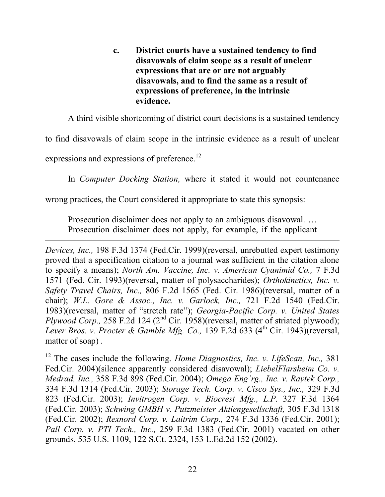<span id="page-28-0"></span>**c. District courts have a sustained tendency to find disavowals of claim scope as a result of unclear expressions that are or are not arguably disavowals, and to find the same as a result of expressions of preference, in the intrinsic evidence.**

A third visible shortcoming of district court decisions is a sustained tendency

to find disavowals of claim scope in the intrinsic evidence as a result of unclear

expressions and expressions of preference.<sup>12</sup>

 $\overline{a}$ 

In *Computer Docking Station,* where it stated it would not countenance

wrong practices, the Court considered it appropriate to state this synopsis:

Prosecution disclaimer does not apply to an ambiguous disavowal. … Prosecution disclaimer does not apply, for example, if the applicant

*Devices, Inc.,* 198 F.3d 1374 (Fed.Cir. 1999)(reversal, unrebutted expert testimony proved that a specification citation to a journal was sufficient in the citation alone to specify a means); *North Am. Vaccine, Inc. v. American Cyanimid Co.,* 7 F.3d 1571 (Fed. Cir. 1993)(reversal, matter of polysaccharides); *Orthokinetics, Inc. v. Safety Travel Chairs, Inc.,* 806 F.2d 1565 (Fed. Cir. 1986)(reversal, matter of a chair); *W.L. Gore & Assoc., Inc. v. Garlock, Inc.,* 721 F.2d 1540 (Fed.Cir. 1983)(reversal, matter of "stretch rate"); *Georgia-Pacific Corp. v. United States Plywood Corp.*, 258 F.2d 124 (2<sup>nd</sup> Cir. 1958)(reversal, matter of striated plywood); *Lever Bros. v. Procter & Gamble Mfg. Co.*, 139 F.2d 633 (4<sup>th</sup> Cir. 1943)(reversal, matter of soap) .

<sup>12</sup> The cases include the following. *Home Diagnostics, Inc. v. LifeScan, Inc.,* 381 Fed.Cir. 2004)(silence apparently considered disavowal); *LiebelFlarsheim Co. v. Medrad, Inc.,* 358 F.3d 898 (Fed.Cir. 2004); *Omega Eng'rg., Inc. v. Raytek Corp.,*  334 F.3d 1314 (Fed.Cir. 2003); *Storage Tech. Corp. v. Cisco Sys., Inc.,* 329 F.3d 823 (Fed.Cir. 2003); *Invitrogen Corp. v. Biocrest Mfg., L.P.* 327 F.3d 1364 (Fed.Cir. 2003); *Schwing GMBH v. Putzmeister Aktiengesellschaft,* 305 F.3d 1318 (Fed.Cir. 2002); *Rexnord Corp. v. Laitrim Corp.,* 274 F.3d 1336 (Fed.Cir. 2001); *Pall Corp. v. PTI Tech., Inc.,* 259 F.3d 1383 (Fed.Cir. 2001) vacated on other grounds, 535 U.S. 1109, 122 S.Ct. 2324, 153 L.Ed.2d 152 (2002).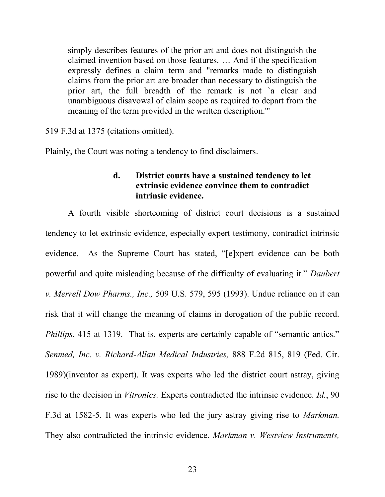simply describes features of the prior art and does not distinguish the claimed invention based on those features. … And if the specification expressly defines a claim term and "remarks made to distinguish claims from the prior art are broader than necessary to distinguish the prior art, the full breadth of the remark is not `a clear and unambiguous disavowal of claim scope as required to depart from the meaning of the term provided in the written description.'"

519 F.3d at 1375 (citations omitted).

<span id="page-29-0"></span>Plainly, the Court was noting a tendency to find disclaimers.

#### **d. District courts have a sustained tendency to let extrinsic evidence convince them to contradict intrinsic evidence.**

A fourth visible shortcoming of district court decisions is a sustained tendency to let extrinsic evidence, especially expert testimony, contradict intrinsic evidence. As the Supreme Court has stated, "[e]xpert evidence can be both powerful and quite misleading because of the difficulty of evaluating it." *Daubert v. Merrell Dow Pharms., Inc.,* 509 U.S. 579, 595 (1993). Undue reliance on it can risk that it will change the meaning of claims in derogation of the public record. *Phillips*, 415 at 1319. That is, experts are certainly capable of "semantic antics." *Senmed, Inc. v. Richard-Allan Medical Industries,* 888 F.2d 815, 819 (Fed. Cir. 1989)(inventor as expert). It was experts who led the district court astray, giving rise to the decision in *Vitronics.* Experts contradicted the intrinsic evidence. *Id.*, 90 F.3d at 1582-5. It was experts who led the jury astray giving rise to *Markman.*  They also contradicted the intrinsic evidence. *Markman v. Westview Instruments,*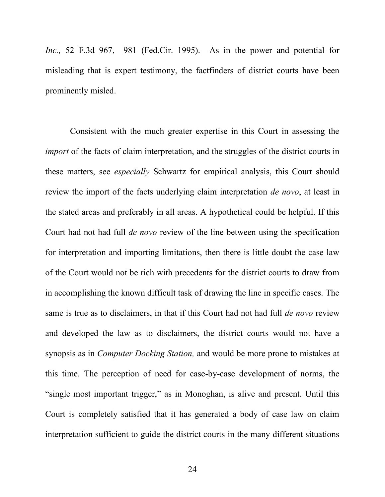*Inc.,* 52 F.3d 967, 981 (Fed.Cir. 1995). As in the power and potential for misleading that is expert testimony, the factfinders of district courts have been prominently misled.

Consistent with the much greater expertise in this Court in assessing the *import* of the facts of claim interpretation, and the struggles of the district courts in these matters, see *especially* Schwartz for empirical analysis, this Court should review the import of the facts underlying claim interpretation *de novo*, at least in the stated areas and preferably in all areas. A hypothetical could be helpful. If this Court had not had full *de novo* review of the line between using the specification for interpretation and importing limitations, then there is little doubt the case law of the Court would not be rich with precedents for the district courts to draw from in accomplishing the known difficult task of drawing the line in specific cases. The same is true as to disclaimers, in that if this Court had not had full *de novo* review and developed the law as to disclaimers, the district courts would not have a synopsis as in *Computer Docking Station,* and would be more prone to mistakes at this time. The perception of need for case-by-case development of norms, the "single most important trigger," as in Monoghan, is alive and present. Until this Court is completely satisfied that it has generated a body of case law on claim interpretation sufficient to guide the district courts in the many different situations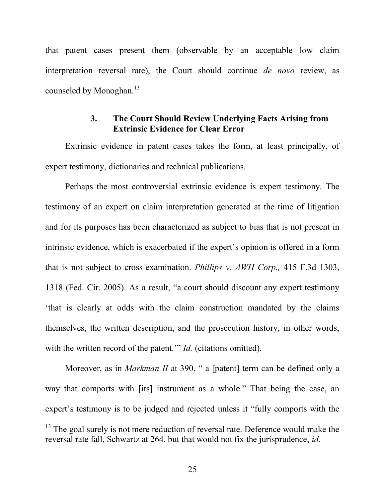that patent cases present them (observable by an acceptable low claim interpretation reversal rate), the Court should continue *de novo* review, as counseled by Monoghan.<sup>13</sup>

#### **3. The Court Should Review Underlying Facts Arising from Extrinsic Evidence for Clear Error**

<span id="page-31-0"></span>Extrinsic evidence in patent cases takes the form, at least principally, of expert testimony, dictionaries and technical publications.

Perhaps the most controversial extrinsic evidence is expert testimony. The testimony of an expert on claim interpretation generated at the time of litigation and for its purposes has been characterized as subject to bias that is not present in intrinsic evidence, which is exacerbated if the expert's opinion is offered in a form that is not subject to cross-examination. *Phillips v. AWH Corp.,* 415 F.3d 1303, 1318 (Fed. Cir. 2005). As a result, "a court should discount any expert testimony 'that is clearly at odds with the claim construction mandated by the claims themselves, the written description, and the prosecution history, in other words, with the written record of the patent." *Id.* (citations omitted).

Moreover, as in *Markman II* at 390, " a [patent] term can be defined only a way that comports with [its] instrument as a whole." That being the case, an expert's testimony is to be judged and rejected unless it "fully comports with the

 $\overline{a}$ 

<sup>&</sup>lt;sup>13</sup> The goal surely is not mere reduction of reversal rate. Deference would make the reversal rate fall, Schwartz at 264, but that would not fix the jurisprudence, *id.*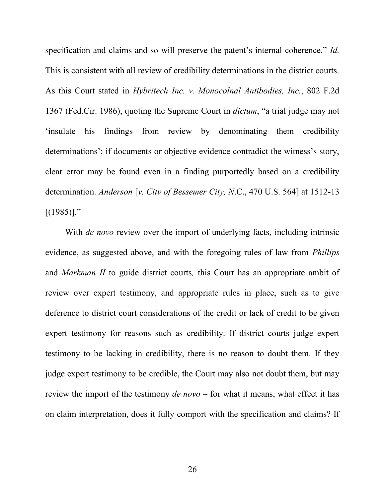specification and claims and so will preserve the patent's internal coherence." *Id.* This is consistent with all review of credibility determinations in the district courts. As this Court stated in *Hybritech Inc. v. Monocolnal Antibodies, Inc.*, 802 F.2d 1367 (Fed.Cir. 1986), quoting the Supreme Court in *dictum*, "a trial judge may not 'insulate his findings from review by denominating them credibility determinations'; if documents or objective evidence contradict the witness's story, clear error may be found even in a finding purportedly based on a credibility determination. *Anderson* [*v. City of Bessemer City, N*.C., 470 U.S. 564] at 1512-13  $[(1985)]$ ."

With *de novo* review over the import of underlying facts, including intrinsic evidence, as suggested above, and with the foregoing rules of law from *Phillips* and *Markman II* to guide district courts*,* this Court has an appropriate ambit of review over expert testimony, and appropriate rules in place, such as to give deference to district court considerations of the credit or lack of credit to be given expert testimony for reasons such as credibility. If district courts judge expert testimony to be lacking in credibility, there is no reason to doubt them. If they judge expert testimony to be credible, the Court may also not doubt them, but may review the import of the testimony *de novo* – for what it means, what effect it has on claim interpretation, does it fully comport with the specification and claims? If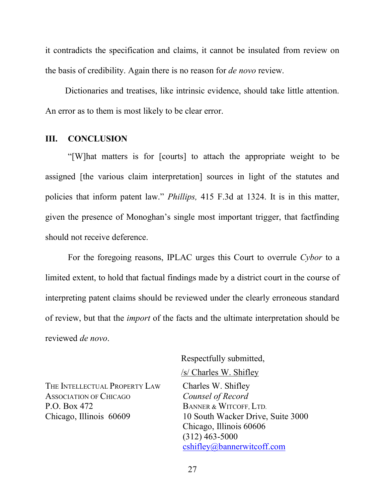it contradicts the specification and claims, it cannot be insulated from review on the basis of credibility. Again there is no reason for *de novo* review.

Dictionaries and treatises, like intrinsic evidence, should take little attention. An error as to them is most likely to be clear error.

#### <span id="page-33-0"></span>**III. CONCLUSION**

"[W]hat matters is for [courts] to attach the appropriate weight to be assigned [the various claim interpretation] sources in light of the statutes and policies that inform patent law." *Phillips,* 415 F.3d at 1324. It is in this matter, given the presence of Monoghan's single most important trigger, that factfinding should not receive deference.

For the foregoing reasons, IPLAC urges this Court to overrule *Cybor* to a limited extent, to hold that factual findings made by a district court in the course of interpreting patent claims should be reviewed under the clearly erroneous standard of review, but that the *import* of the facts and the ultimate interpretation should be reviewed *de novo*.

THE INTELLECTUAL PROPERTY LAW Charles W. Shifley ASSOCIATION OF CHICAGO *Counsel of Record* P.O. Box 472 Chicago, Illinois 60609

Respectfully submitted, /s/ Charles W. Shifley

BANNER & WITCOFF, LTD. 10 South Wacker Drive, Suite 3000 Chicago, Illinois 60606 (312) 463-5000 cshifley@bannerwitcoff.com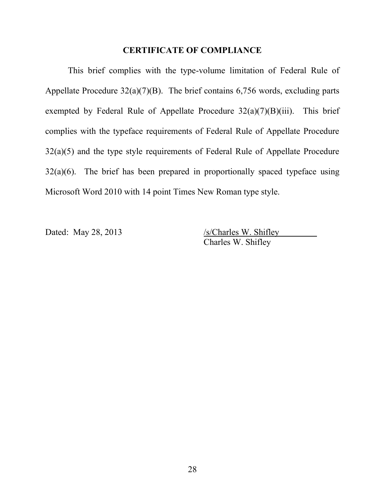#### **CERTIFICATE OF COMPLIANCE**

This brief complies with the type-volume limitation of Federal Rule of Appellate Procedure  $32(a)(7)(B)$ . The brief contains 6,756 words, excluding parts exempted by Federal Rule of Appellate Procedure  $32(a)(7)(B)(iii)$ . This brief complies with the typeface requirements of Federal Rule of Appellate Procedure 32(a)(5) and the type style requirements of Federal Rule of Appellate Procedure  $32(a)(6)$ . The brief has been prepared in proportionally spaced typeface using Microsoft Word 2010 with 14 point Times New Roman type style.

Dated: May 28, 2013 /s/Charles W. Shifley Charles W. Shifley